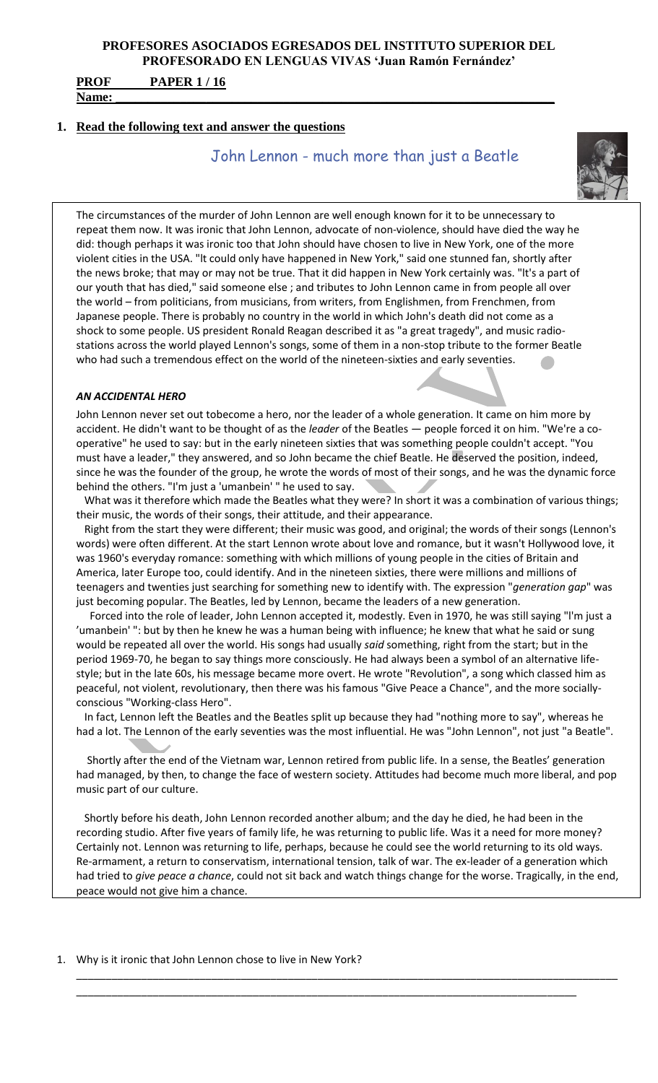**PROF PAPER 1 / 16 Name: \_\_\_\_\_\_\_\_\_\_\_\_\_\_\_\_\_\_\_\_\_\_\_\_\_\_\_\_\_\_\_\_\_\_\_\_\_\_\_\_\_\_\_\_\_\_\_\_\_\_\_\_\_\_\_\_\_\_\_\_\_\_\_\_\_\_\_\_**

### **1. Read the following text and answer the questions**

John Lennon - much more than just a Beatle



The circumstances of the murder of John Lennon are well enough known for it to be unnecessary to repeat them now. It was ironic that John Lennon, advocate of non-violence, should have died the way he did: though perhaps it was ironic too that John should have chosen to live in New York, one of the more violent cities in the USA. "lt could only have happened in New York," said one stunned fan, shortly after the news broke; that may or may not be true. That it did happen in New York certainly was. "lt's a part of our youth that has died," said someone else ; and tributes to John Lennon came in from people all over the world – from politicians, from musicians, from writers, from Englishmen, from Frenchmen, from Japanese people. There is probably no country in the world in which John's death did not come as a shock to some people. US president Ronald Reagan described it as "a great tragedy", and music radiostations across the world played Lennon's songs, some of them in a non-stop tribute to the former Beatle who had such a tremendous effect on the world of the nineteen-sixties and early seventies.

#### *AN ACCIDENTAL HERO*

John Lennon never set out tobecome a hero, nor the leader of a whole generation. It came on him more by accident. He didn't want to be thought of as the *leader* of the Beatles — people forced it on him. "We're a cooperative" he used to say: but in the early nineteen sixties that was something people couldn't accept. "You must have a leader," they answered, and so John became the chief Beatle. He deserved the position, indeed, since he was the founder of the group, he wrote the words of most of their songs, and he was the dynamic force behind the others. "I'm just a 'umanbein' " he used to say.

 What was it therefore which made the Beatles what they were? In short it was a combination of various things; their music, the words of their songs, their attitude, and their appearance.

Right from the start they were different; their music was good, and original; the words of their songs (Lennon's words) were often different. At the start Lennon wrote about love and romance, but it wasn't Hollywood love, it was 1960's everyday romance: something with which millions of young people in the cities of Britain and America, later Europe too, could identify. And in the nineteen sixties, there were millions and millions of teenagers and twenties just searching for something new to identify with. The expression "*generation gap*" was just becoming popular. The Beatles, led by Lennon, became the leaders of a new generation.

 Forced into the role of leader, John Lennon accepted it, modestly. Even in 1970, he was still saying "l'm just a 'umanbein' ": but by then he knew he was a human being with influence; he knew that what he said or sung would be repeated all over the world. His songs had usually *said* something, right from the start; but in the period 1969-70, he began to say things more consciously. He had always been a symbol of an alternative lifestyle; but in the late 60s, his message became more overt. He wrote "Revolution", a song which classed him as peaceful, not violent, revolutionary, then there was his famous "Give Peace a Chance", and the more sociallyconscious "Working-class Hero".

 In fact, Lennon left the Beatles and the Beatles split up because they had "nothing more to say", whereas he had a lot. The Lennon of the early seventies was the most influential. He was "John Lennon", not just "a Beatle".

Shortly after the end of the Vietnam war, Lennon retired from public life. In a sense, the Beatles' generation had managed, by then, to change the face of western society. Attitudes had become much more liberal, and pop music part of our culture.

Shortly before his death, John Lennon recorded another album; and the day he died, he had been in the recording studio. After five years of family life, he was returning to public life. Was it a need for more money? Certainly not. Lennon was returning to life, perhaps, because he could see the world returning to its old ways. Re-armament, a return to conservatism, international tension, talk of war. The ex-leader of a generation which had tried to *give peace a chance*, could not sit back and watch things change for the worse. Tragically, in the end, peace would not give him a chance.

\_\_\_\_\_\_\_\_\_\_\_\_\_\_\_\_\_\_\_\_\_\_\_\_\_\_\_\_\_\_\_\_\_\_\_\_\_\_\_\_\_\_\_\_\_\_\_\_\_\_\_\_\_\_\_\_\_\_\_\_\_\_\_\_\_\_\_\_\_\_\_\_\_\_\_\_\_\_\_\_\_\_\_\_\_\_\_\_\_\_\_\_

\_\_\_\_\_\_\_\_\_\_\_\_\_\_\_\_\_\_\_\_\_\_\_\_\_\_\_\_\_\_\_\_\_\_\_\_\_\_\_\_\_\_\_\_\_\_\_\_\_\_\_\_\_\_\_\_\_\_\_\_\_\_\_\_\_\_\_\_\_\_\_\_\_\_\_\_\_\_\_\_\_\_\_\_\_

1. Why is it ironic that John Lennon chose to live in New York?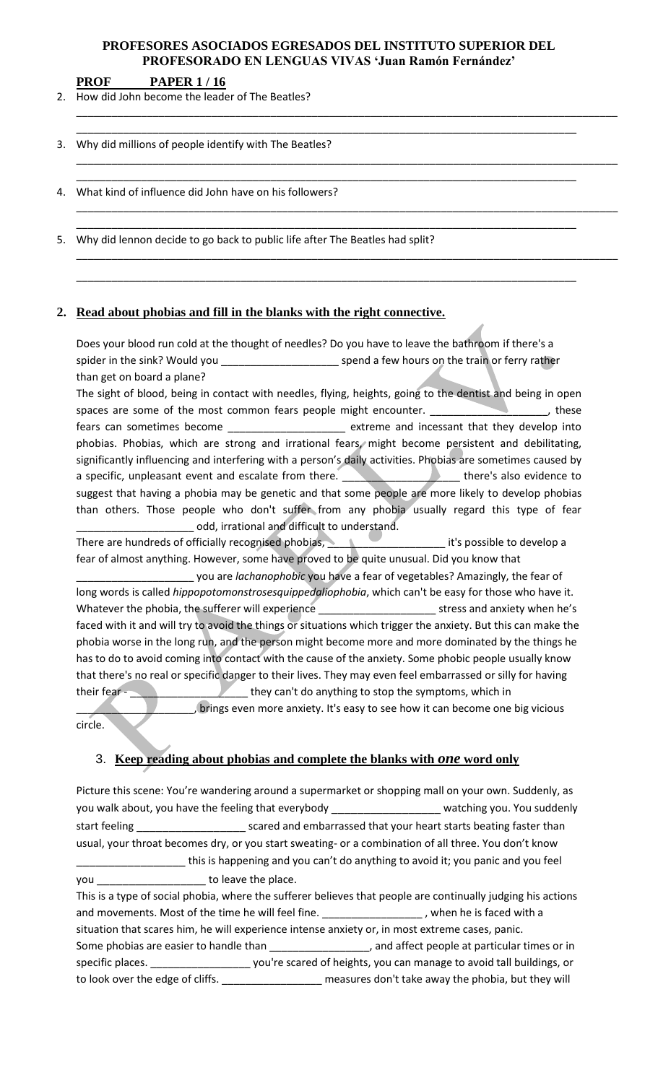\_\_\_\_\_\_\_\_\_\_\_\_\_\_\_\_\_\_\_\_\_\_\_\_\_\_\_\_\_\_\_\_\_\_\_\_\_\_\_\_\_\_\_\_\_\_\_\_\_\_\_\_\_\_\_\_\_\_\_\_\_\_\_\_\_\_\_\_\_\_\_\_\_\_\_\_\_\_\_\_\_\_\_\_\_

\_\_\_\_\_\_\_\_\_\_\_\_\_\_\_\_\_\_\_\_\_\_\_\_\_\_\_\_\_\_\_\_\_\_\_\_\_\_\_\_\_\_\_\_\_\_\_\_\_\_\_\_\_\_\_\_\_\_\_\_\_\_\_\_\_\_\_\_\_\_\_\_\_\_\_\_\_\_\_\_\_\_\_\_\_

\_\_\_\_\_\_\_\_\_\_\_\_\_\_\_\_\_\_\_\_\_\_\_\_\_\_\_\_\_\_\_\_\_\_\_\_\_\_\_\_\_\_\_\_\_\_\_\_\_\_\_\_\_\_\_\_\_\_\_\_\_\_\_\_\_\_\_\_\_\_\_\_\_\_\_\_\_\_\_\_\_\_\_\_\_

\_\_\_\_\_\_\_\_\_\_\_\_\_\_\_\_\_\_\_\_\_\_\_\_\_\_\_\_\_\_\_\_\_\_\_\_\_\_\_\_\_\_\_\_\_\_\_\_\_\_\_\_\_\_\_\_\_\_\_\_\_\_\_\_\_\_\_\_\_\_\_\_\_\_\_\_\_\_\_\_\_\_\_\_\_

\_\_\_\_\_\_\_\_\_\_\_\_\_\_\_\_\_\_\_\_\_\_\_\_\_\_\_\_\_\_\_\_\_\_\_\_\_\_\_\_\_\_\_\_\_\_\_\_\_\_\_\_\_\_\_\_\_\_\_\_\_\_\_\_\_\_\_\_\_\_\_\_\_\_\_\_\_\_\_\_\_\_\_\_\_\_\_\_\_\_\_\_

\_\_\_\_\_\_\_\_\_\_\_\_\_\_\_\_\_\_\_\_\_\_\_\_\_\_\_\_\_\_\_\_\_\_\_\_\_\_\_\_\_\_\_\_\_\_\_\_\_\_\_\_\_\_\_\_\_\_\_\_\_\_\_\_\_\_\_\_\_\_\_\_\_\_\_\_\_\_\_\_\_\_\_\_\_\_\_\_\_\_\_\_

\_\_\_\_\_\_\_\_\_\_\_\_\_\_\_\_\_\_\_\_\_\_\_\_\_\_\_\_\_\_\_\_\_\_\_\_\_\_\_\_\_\_\_\_\_\_\_\_\_\_\_\_\_\_\_\_\_\_\_\_\_\_\_\_\_\_\_\_\_\_\_\_\_\_\_\_\_\_\_\_\_\_\_\_\_\_\_\_\_\_\_\_

\_\_\_\_\_\_\_\_\_\_\_\_\_\_\_\_\_\_\_\_\_\_\_\_\_\_\_\_\_\_\_\_\_\_\_\_\_\_\_\_\_\_\_\_\_\_\_\_\_\_\_\_\_\_\_\_\_\_\_\_\_\_\_\_\_\_\_\_\_\_\_\_\_\_\_\_\_\_\_\_\_\_\_\_\_\_\_\_\_\_\_\_

**PROF PAPER 1 / 16**

2. How did John become the leader of The Beatles?

3. Why did millions of people identify with The Beatles?

4. What kind of influence did John have on his followers?

5. Why did lennon decide to go back to public life after The Beatles had split?

# **2. Read about phobias and fill in the blanks with the right connective.**

Does your blood run cold at the thought of needles? Do you have to leave the bathroom if there's a spider in the sink? Would you \_\_\_\_\_\_\_\_\_\_\_\_\_\_\_\_\_\_\_\_ spend a few hours on the train or ferry rather than get on board a plane?

The sight of blood, being in contact with needles, flying, heights, going to the dentist and being in open spaces are some of the most common fears people might encounter. \_\_\_\_\_\_\_\_\_\_\_\_\_\_\_\_\_\_\_\_\_, these fears can sometimes become \_\_\_\_\_\_\_\_\_\_\_\_\_\_\_\_\_\_\_\_\_ extreme and incessant that they develop into phobias. Phobias, which are strong and irrational fears, might become persistent and debilitating, significantly influencing and interfering with a person's daily activities. Phobias are sometimes caused by a specific, unpleasant event and escalate from there. The manufacture of there's also evidence to suggest that having a phobia may be genetic and that some people are more likely to develop phobias than others. Those people who don't suffer from any phobia usually regard this type of fear odd, irrational and difficult to understand.

There are hundreds of officially recognised phobias, \_\_\_\_\_\_\_\_\_\_\_\_\_\_\_\_\_\_\_\_\_\_\_\_\_\_\_\_ it's possible to develop a fear of almost anything. However, some have proved to be quite unusual. Did you know that

\_\_\_\_\_\_\_\_\_\_\_\_\_\_\_\_\_\_\_\_ you are *lachanophobic* you have a fear of vegetables? Amazingly, the fear of long words is called *hippopotomonstrosesquippedaliophobia*, which can't be easy for those who have it. Whatever the phobia, the sufferer will experience experience experience stress and anxiety when he's faced with it and will try to avoid the things or situations which trigger the anxiety. But this can make the phobia worse in the long run, and the person might become more and more dominated by the things he has to do to avoid coming into contact with the cause of the anxiety. Some phobic people usually know that there's no real or specific danger to their lives. They may even feel embarrassed or silly for having their fear - \_\_\_\_\_\_\_\_\_\_\_\_\_\_\_\_\_\_\_\_ they can't do anything to stop the symptoms, which in

brings even more anxiety. It's easy to see how it can become one big vicious circle.

# 3. **Keep reading about phobias and complete the blanks with** *one* **word only**

Picture this scene: You're wandering around a supermarket or shopping mall on your own. Suddenly, as you walk about, you have the feeling that everybody example and the watching you. You suddenly start feeling **Exercise 20** scared and embarrassed that your heart starts beating faster than usual, your throat becomes dry, or you start sweating- or a combination of all three. You don't know **wave the set of the set of the set of the set of the set of the set of the set of the set of the set of the set** you **b** to leave the place. This is a type of social phobia, where the sufferer believes that people are continually judging his actions and movements. Most of the time he will feel fine. \_\_\_\_\_\_\_\_\_\_\_\_\_\_\_\_\_\_\_, when he is faced with a situation that scares him, he will experience intense anxiety or, in most extreme cases, panic. Some phobias are easier to handle than \_\_\_\_\_\_\_\_\_\_\_\_\_\_\_\_\_\_\_, and affect people at particular times or in specific places. \_\_\_\_\_\_\_\_\_\_\_\_\_\_\_\_\_ you're scared of heights, you can manage to avoid tall buildings, or

to look over the edge of cliffs. \_\_\_\_\_\_\_\_\_\_\_\_\_\_\_\_\_\_\_ measures don't take away the phobia, but they will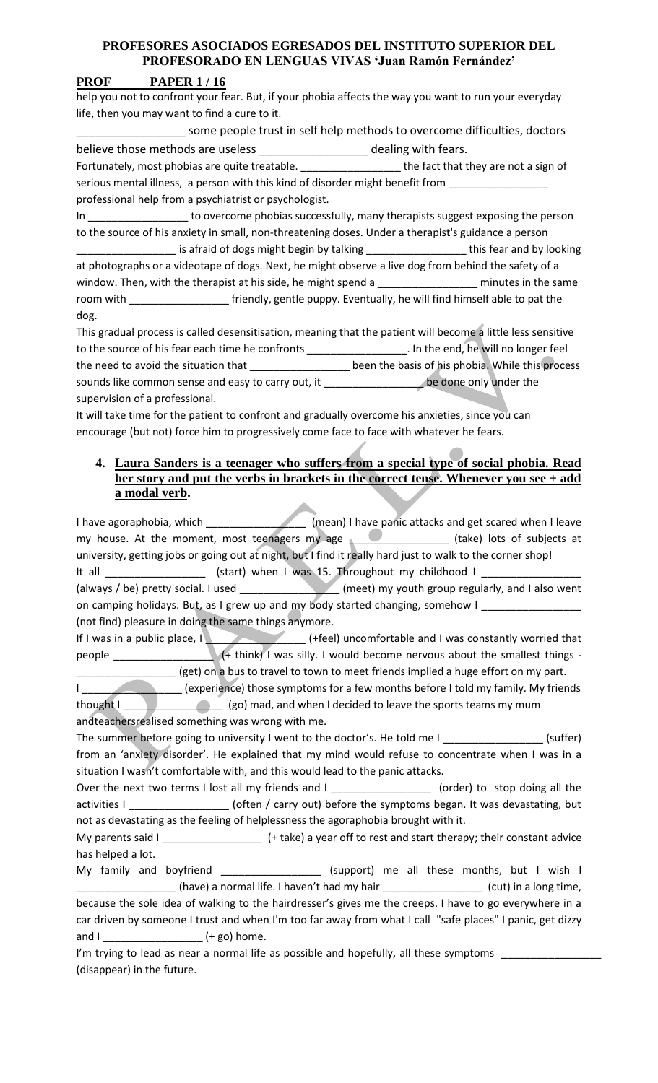# **PROF PAPER 1 / 16**

help you not to confront your fear. But, if your phobia affects the way you want to run your everyday life, then you may want to find a cure to it.

\_\_\_\_\_\_\_\_\_ some people trust in self help methods to overcome difficulties, doctors believe those methods are useless **Exercise 20** dealing with fears.

Fortunately, most phobias are quite treatable. \_\_\_\_\_\_\_\_\_\_\_\_\_\_\_\_\_\_\_\_\_the fact that they are not a sign of serious mental illness, a person with this kind of disorder might benefit from \_\_ professional help from a psychiatrist or psychologist.

In \_\_\_\_\_\_\_\_\_\_\_\_\_\_\_\_\_ to overcome phobias successfully, many therapists suggest exposing the person to the source of his anxiety in small, non-threatening doses. Under a therapist's guidance a person is afraid of dogs might begin by talking \_\_\_\_\_\_\_\_\_\_\_\_\_\_\_\_\_\_\_\_\_\_\_this fear and by looking at photographs or a videotape of dogs. Next, he might observe a live dog from behind the safety of a window. Then, with the therapist at his side, he might spend a \_\_\_\_\_\_\_\_\_\_\_\_\_\_\_\_\_\_ minutes in the same room with **the community of the state of the puppy.** Eventually, he will find himself able to pat the dog.

This gradual process is called desensitisation, meaning that the patient will become a little less sensitive to the source of his fear each time he confronts \_\_\_\_\_\_\_\_\_\_\_\_\_\_\_\_\_\_\_\_. In the end, he will no longer feel the need to avoid the situation that \_\_\_\_\_\_\_\_\_\_\_\_\_\_\_\_\_\_\_\_ been the basis of his phobia. While this process sounds like common sense and easy to carry out, it \_\_\_\_\_\_\_\_\_\_\_\_\_\_\_\_\_\_\_\_be done only under the supervision of a professional.

It will take time for the patient to confront and gradually overcome his anxieties, since you can encourage (but not) force him to progressively come face to face with whatever he fears.

# **4. Laura Sanders is a teenager who suffers from a special type of social phobia. Read her story and put the verbs in brackets in the correct tense. Whenever you see + add a modal verb.**

I have agoraphobia, which \_\_\_\_\_\_\_\_\_\_\_\_\_\_\_\_\_\_\_\_\_\_\_(mean) I have panic attacks and get scared when I leave my house. At the moment, most teenagers my age \_\_\_\_\_\_\_\_\_\_\_\_\_\_\_\_\_\_ (take) lots of subjects at university, getting jobs or going out at night, but I find it really hard just to walk to the corner shop! It all \_\_\_\_\_\_\_\_\_\_\_\_\_\_\_\_\_\_\_\_\_\_\_ (start) when I was 15. Throughout my childhood I \_\_ (always / be) pretty social. I used \_\_\_\_\_\_\_\_\_\_\_\_\_\_\_\_\_ (meet) my youth group regularly, and I also went on camping holidays. But, as I grew up and my body started changing, somehow I (not find) pleasure in doing the same things anymore. If I was in a public place, I  $\blacksquare$   $($  +feel) uncomfortable and I was constantly worried that people \_\_\_\_\_\_\_\_\_\_\_\_\_\_\_\_\_ (+ think) I was silly. I would become nervous about the smallest things -  $\equiv$  (get) on a bus to travel to town to meet friends implied a huge effort on my part. (experience) those symptoms for a few months before I told my family. My friends thought I \_\_\_\_\_\_\_\_\_\_\_\_\_\_\_\_\_\_\_\_\_\_\_(go) mad, and when I decided to leave the sports teams my mum andteachersrealised something was wrong with me. The summer before going to university I went to the doctor's. He told me I \_\_\_\_\_\_\_\_\_\_\_\_\_\_\_\_\_\_\_(suffer) from an 'anxiety disorder'. He explained that my mind would refuse to concentrate when I was in a situation I wasn't comfortable with, and this would lead to the panic attacks. Over the next two terms I lost all my friends and I \_\_\_\_\_\_\_\_\_\_\_\_\_\_\_\_\_\_\_ (order) to stop doing all the activities I \_\_\_\_\_\_\_\_\_\_\_\_\_\_\_\_\_\_\_\_\_(often / carry out) before the symptoms began. It was devastating, but not as devastating as the feeling of helplessness the agoraphobia brought with it. My parents said I \_\_\_\_\_\_\_\_\_\_\_\_\_\_\_\_\_\_\_\_\_\_\_\_\_\_ (+ take) a year off to rest and start therapy; their constant advice has helped a lot. My family and boyfriend \_\_\_\_\_\_\_\_\_\_\_\_\_\_\_\_\_\_\_ (support) me all these months, but I wish I \_\_\_\_\_\_\_\_\_\_\_\_\_\_\_\_\_ (have) a normal life. I haven't had my hair \_\_\_\_\_\_\_\_\_\_\_\_\_\_\_\_\_ (cut) in a long time, because the sole idea of walking to the hairdresser's gives me the creeps. I have to go everywhere in a car driven by someone I trust and when I'm too far away from what I call "safe places" I panic, get dizzy and I \_\_\_\_\_\_\_\_\_\_\_\_\_\_\_\_\_ (+ go) home.

I'm trying to lead as near a normal life as possible and hopefully, all these symptoms \_ (disappear) in the future.